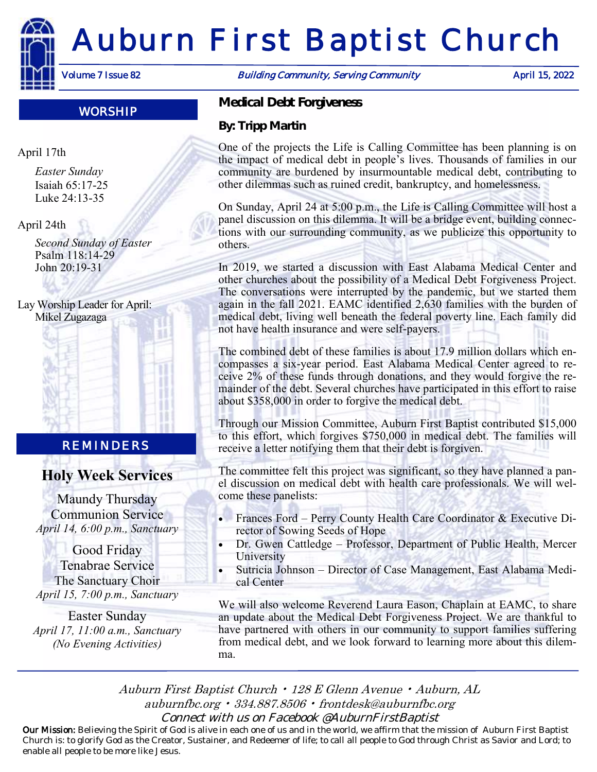

# Auburn First Baptist Church

WORSHIP

April 17th

*Easter Sunday* Isaiah 65:17-25 Luke 24:13-35

April 24th

*Second Sunday of Easter* Psalm 118:14-29 John 20:19-31

Lay Worship Leader for April: Mikel Zugazaga

# REMINDERS

# **Holy Week Services**

Maundy Thursday Communion Service *April 14, 6:00 p.m., Sanctuary*

Good Friday Tenabrae Service The Sanctuary Choir *April 15, 7:00 p.m., Sanctuary*

Easter Sunday *April 17, 11:00 a.m., Sanctuary (No Evening Activities)*

Volume 7 Issue 82 **Building Community, Serving Community** April 15, 2022

*Medical Debt Forgiveness*

*By: Tripp Martin*

One of the projects the Life is Calling Committee has been planning is on the impact of medical debt in people's lives. Thousands of families in our community are burdened by insurmountable medical debt, contributing to other dilemmas such as ruined credit, bankruptcy, and homelessness.

On Sunday, April 24 at 5:00 p.m., the Life is Calling Committee will host a panel discussion on this dilemma. It will be a bridge event, building connections with our surrounding community, as we publicize this opportunity to others.

In 2019, we started a discussion with East Alabama Medical Center and other churches about the possibility of a Medical Debt Forgiveness Project. The conversations were interrupted by the pandemic, but we started them again in the fall 2021. EAMC identified 2,630 families with the burden of medical debt, living well beneath the federal poverty line. Each family did not have health insurance and were self-payers.

The combined debt of these families is about 17.9 million dollars which encompasses a six-year period. East Alabama Medical Center agreed to receive 2% of these funds through donations, and they would forgive the remainder of the debt. Several churches have participated in this effort to raise about \$358,000 in order to forgive the medical debt.

Through our Mission Committee, Auburn First Baptist contributed \$15,000 to this effort, which forgives \$750,000 in medical debt. The families will receive a letter notifying them that their debt is forgiven.

The committee felt this project was significant, so they have planned a panel discussion on medical debt with health care professionals. We will welcome these panelists:

- Frances Ford Perry County Health Care Coordinator & Executive Director of Sowing Seeds of Hope
- Dr. Gwen Cattledge Professor, Department of Public Health, Mercer University
- Sutricia Johnson Director of Case Management, East Alabama Medical Center

We will also welcome Reverend Laura Eason, Chaplain at EAMC, to share an update about the Medical Debt Forgiveness Project. We are thankful to have partnered with others in our community to support families suffering from medical debt, and we look forward to learning more about this dilemma.

Auburn First Baptist Church • 128 E Glenn Avenue • Auburn, AL auburnfbc.org • 334.887.8506 • frontdesk@auburnfbc.org Connect with us on Facebook @AuburnFirstBaptist

Our Mission: Believing the Spirit of God is alive in each one of us and in the world, we affirm that the mission of Auburn First Baptist Church is: to glorify God as the Creator, Sustainer, and Redeemer of life; to call all people to God through Christ as Savior and Lord; to enable all people to be more like Jesus.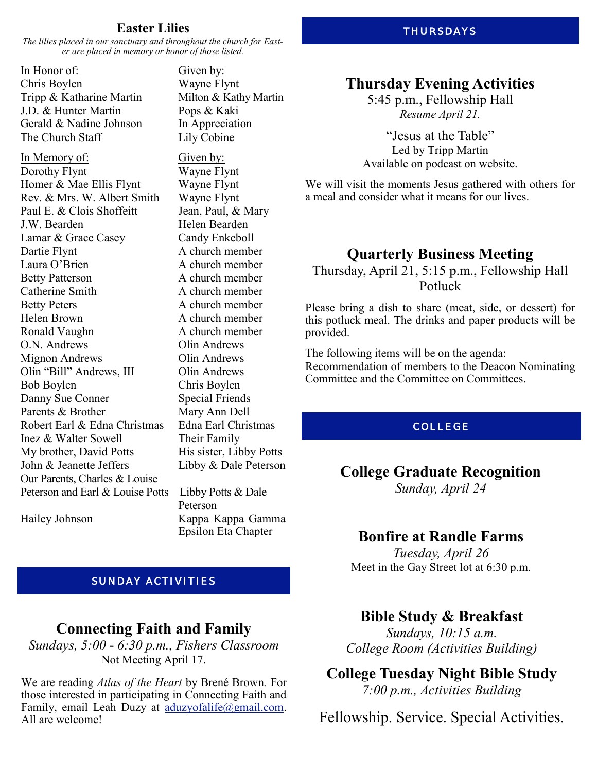#### **Easter Lilies**

*The lilies placed in our sanctuary and throughout the church for Easter are placed in memory or honor of those listed.*

In Honor of: Given by: Chris Boylen Wayne Flynt Tripp & Katharine Martin Milton & Kathy Martin J.D. & Hunter Martin Pops & Kaki Gerald & Nadine Johnson In Appreciation The Church Staff Lily Cobine

In Memory of: Given by: Dorothy Flynt Wayne Flynt Homer & Mae Ellis Flynt Wayne Flynt Rev. & Mrs. W. Albert Smith Wayne Flynt Paul E. & Clois Shoffeitt Jean, Paul, & Mary J.W. Bearden **Helen** Bearden Lamar & Grace Casey Candy Enkeboll Dartie Flynt A church member Laura O'Brien A church member Betty Patterson A church member Catherine Smith A church member Betty Peters A church member Helen Brown A church member Ronald Vaughn A church member O.N. Andrews Olin Andrews Mignon Andrews Olin Andrews Olin "Bill" Andrews, III Olin Andrews Bob Boylen Chris Boylen Danny Sue Conner Special Friends Parents & Brother Mary Ann Dell Robert Earl & Edna Christmas Edna Earl Christmas Inez & Walter Sowell Their Family My brother, David Potts His sister, Libby Potts John & Jeanette Jeffers Libby & Dale Peterson Our Parents, Charles & Louise Peterson and Earl & Louise Potts Libby Potts & Dale

Peterson Hailey Johnson Kappa Kappa Gamma Epsilon Eta Chapter

#### SUNDAY ACTIVITIES

# **Connecting Faith and Family**

*Sundays, 5:00 - 6:30 p.m., Fishers Classroom* Not Meeting April 17.

We are reading *Atlas of the Heart* by Brené Brown*.* For those interested in participating in Connecting Faith and Family, email Leah Duzy at [aduzyofalife@gmail.com.](mailto:aduzyofalife@gmail.com) All are welcome!

#### THURSDAYS

#### **Thursday Evening Activities**

5:45 p.m., Fellowship Hall *Resume April 21.*

"Jesus at the Table" Led by Tripp Martin Available on podcast on website.

We will visit the moments Jesus gathered with others for a meal and consider what it means for our lives.

# **Quarterly Business Meeting**

Thursday, April 21, 5:15 p.m., Fellowship Hall Potluck

Please bring a dish to share (meat, side, or dessert) for this potluck meal. The drinks and paper products will be provided.

The following items will be on the agenda: Recommendation of members to the Deacon Nominating Committee and the Committee on Committees.

#### COLLEGE

#### **College Graduate Recognition** *Sunday, April 24*

**Bonfire at Randle Farms**

*Tuesday, April 26*

Meet in the Gay Street lot at 6:30 p.m.

#### **Bible Study & Breakfast**

*Sundays, 10:15 a.m. College Room (Activities Building)*

#### **College Tuesday Night Bible Study** *7:00 p.m., Activities Building*

Fellowship. Service. Special Activities.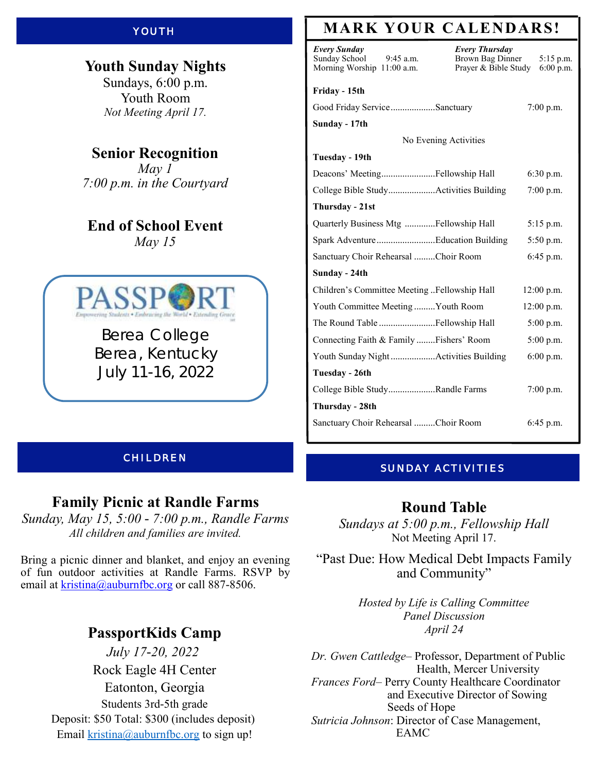#### YOUTH

**Youth Sunday Nights** Sundays, 6:00 p.m. Youth Room *Not Meeting April 17.*

**Senior Recognition** *May 1 7:00 p.m. in the Courtyard*

**End of School Event** *May 15*



Berea College Berea, Kentucky July 11-16, 2022

#### CHILDREN

#### **Family Picnic at Randle Farms**

*Sunday, May 15, 5:00 - 7:00 p.m., Randle Farms All children and families are invited.*

Bring a picnic dinner and blanket, and enjoy an evening of fun outdoor activities at Randle Farms. RSVP by email at kristina@auburnfbc.org or call 887-8506.

### **PassportKids Camp**

*July 17-20, 2022* Rock Eagle [4H Center](x-apple-data-detectors://6) [Eatonton, Georgia](x-apple-data-detectors://6) Students 3rd-5th grade Deposit: \$50 Total: \$300 (includes deposit) Email [kristina@auburnfbc.org](mailto:kristina@auburnfbc.org) to sign up!

# **MARK YOUR CALENDARS!**

| Every Sunday<br>Sunday School<br>$9:45$ a.m.<br>Morning Worship 11:00 a.m. | <b>Every Thursday</b><br>Brown Bag Dinner<br>Prayer & Bible Study | $5:15$ p.m.<br>$6:00$ p.m. |
|----------------------------------------------------------------------------|-------------------------------------------------------------------|----------------------------|
| Friday - 15th                                                              |                                                                   |                            |
| Good Friday ServiceSanctuary                                               |                                                                   | 7:00 p.m.                  |
| Sunday - 17th                                                              |                                                                   |                            |
|                                                                            | No Evening Activities                                             |                            |
| Tuesday - 19th                                                             |                                                                   |                            |
| Deacons' MeetingFellowship Hall                                            |                                                                   | $6:30$ p.m.                |
| College Bible StudyActivities Building                                     |                                                                   | 7:00 p.m.                  |
| Thursday - 21st                                                            |                                                                   |                            |
| Quarterly Business Mtg Fellowship Hall                                     |                                                                   | $5:15$ p.m.                |
| Spark AdventureEducation Building                                          |                                                                   | $5:50$ p.m.                |
| Sanctuary Choir Rehearsal Choir Room                                       |                                                                   | 6:45 p.m.                  |
| Sunday - 24th                                                              |                                                                   |                            |
| Children's Committee Meeting Fellowship Hall                               |                                                                   | $12:00$ p.m.               |
| Youth Committee Meeting Youth Room                                         |                                                                   | 12:00 p.m.                 |
|                                                                            |                                                                   | $5:00$ p.m.                |
| Connecting Faith & Family Fishers' Room                                    |                                                                   | 5:00 p.m.                  |
|                                                                            |                                                                   | $6:00$ p.m.                |
| Tuesday - 26th                                                             |                                                                   |                            |
| College Bible StudyRandle Farms                                            |                                                                   | 7:00 p.m.                  |
| Thursday - 28th                                                            |                                                                   |                            |
| Sanctuary Choir Rehearsal Choir Room                                       |                                                                   | $6:45$ p.m.                |

#### SUNDAY ACTIVITIES

#### **Round Table**

*Sundays at 5:00 p.m., Fellowship Hall* Not Meeting April 17.

"Past Due: How Medical Debt Impacts Family and Community"

> *Hosted by Life is Calling Committee Panel Discussion April 24*

*Dr. Gwen Cattledge–* Professor, Department of Public Health, Mercer University *Frances Ford–* Perry County Healthcare Coordinator and Executive Director of Sowing Seeds of Hope *Sutricia Johnson*: Director of Case Management, EAMC